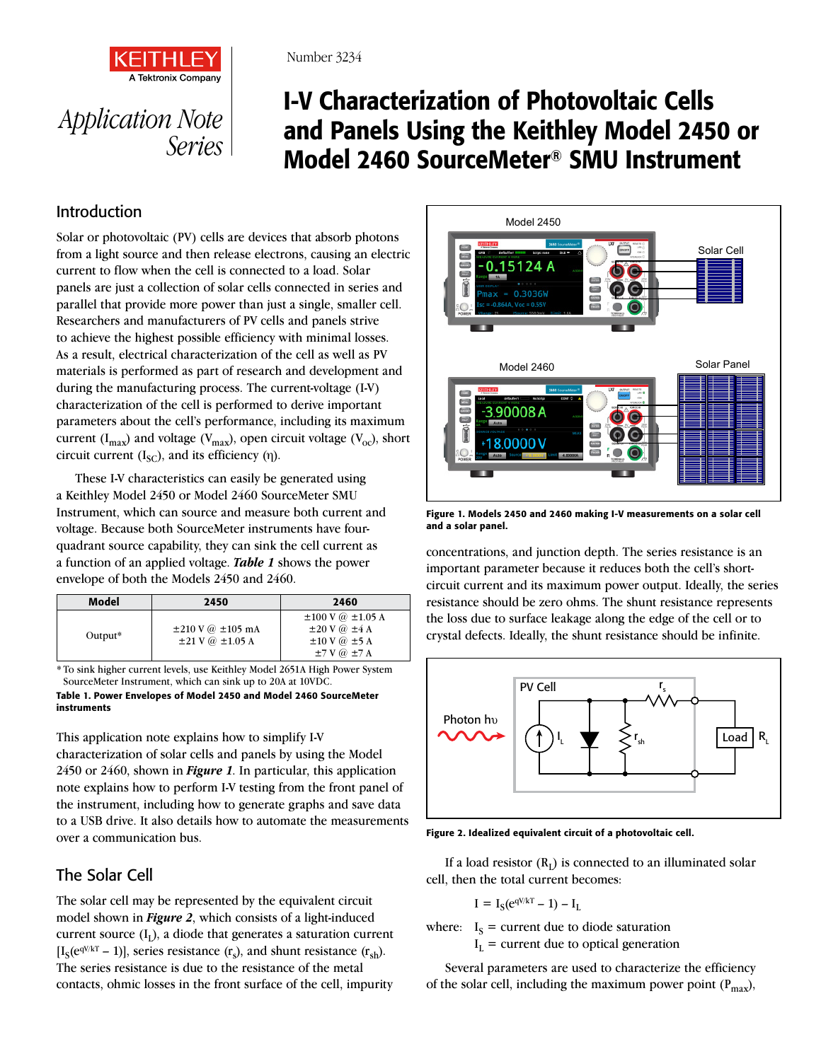

# *Application Note Series*

## I-V Characterization of Photovoltaic Cells and Panels Using the Keithley Model 2450 or Model 2460 SourceMeter® SMU Instrument

### Introduction

Solar or photovoltaic (PV) cells are devices that absorb photons from a light source and then release electrons, causing an electric current to flow when the cell is connected to a load. Solar panels are just a collection of solar cells connected in series and parallel that provide more power than just a single, smaller cell. Researchers and manufacturers of PV cells and panels strive to achieve the highest possible efficiency with minimal losses. As a result, electrical characterization of the cell as well as PV materials is performed as part of research and development and during the manufacturing process. The current-voltage (I-V) characterization of the cell is performed to derive important parameters about the cell's performance, including its maximum current ( $I_{max}$ ) and voltage ( $V_{max}$ ), open circuit voltage ( $V_{oc}$ ), short circuit current  $(I_{SC})$ , and its efficiency  $(\eta)$ .

These I-V characteristics can easily be generated using a Keithley Model 2450 or Model 2460 SourceMeter SMU Instrument, which can source and measure both current and voltage. Because both SourceMeter instruments have fourquadrant source capability, they can sink the cell current as a function of an applied voltage. *Table 1* shows the power envelope of both the Models 2450 and 2460.

| Model      | 2450                                                                    | 2460                                                                                                                     |
|------------|-------------------------------------------------------------------------|--------------------------------------------------------------------------------------------------------------------------|
| Output $*$ | $\pm 210 \text{ V}$ @ $\pm 105 \text{ mA}$<br>$\pm 21$ V @ $\pm 1.05$ A | $\pm 100$ V $\omega$ $\pm 1.05$ A<br>$\pm 20$ V $\omega$ $\pm 4$ A<br>$\pm 10$ V $\omega$ $\pm 5$ A<br>$±7$ V $@$ $±7$ A |

\* To sink higher current levels, use Keithley Model 2651A High Power System SourceMeter Instrument, which can sink up to 20A at 10VDC.

Table 1. Power Envelopes of Model 2450 and Model 2460 SourceMeter instruments

This application note explains how to simplify I-V

characterization of solar cells and panels by using the Model 2450 or 2460, shown in *Figure 1*. In particular, this application note explains how to perform I-V testing from the front panel of the instrument, including how to generate graphs and save data to a USB drive. It also details how to automate the measurements over a communication bus.

### The Solar Cell

The solar cell may be represented by the equivalent circuit model shown in *Figure 2*, which consists of a light-induced current source  $(I_1)$ , a diode that generates a saturation current  $[I<sub>S</sub>(e<sup>qV/kT</sup> - 1)],$  series resistance  $(r<sub>s</sub>)$ , and shunt resistance  $(r<sub>sh</sub>)$ . The series resistance is due to the resistance of the metal contacts, ohmic losses in the front surface of the cell, impurity



Figure 1. Models 2450 and 2460 making I-V measurements on a solar cell and a solar panel.

concentrations, and junction depth. The series resistance is an important parameter because it reduces both the cell's shortcircuit current and its maximum power output. Ideally, the series resistance should be zero ohms. The shunt resistance represents the loss due to surface leakage along the edge of the cell or to crystal defects. Ideally, the shunt resistance should be infinite.



Figure 2. Idealized equivalent circuit of a photovoltaic cell.

If a load resistor  $(R<sub>I</sub>)$  is connected to an illuminated solar cell, then the total current becomes:

$$
I = I_S(e^{qV/kT} - 1) - I_L
$$

where:  $I_S$  = current due to diode saturation  $I_L$  = current due to optical generation

Several parameters are used to characterize the efficiency of the solar cell, including the maximum power point  $(P_{max})$ ,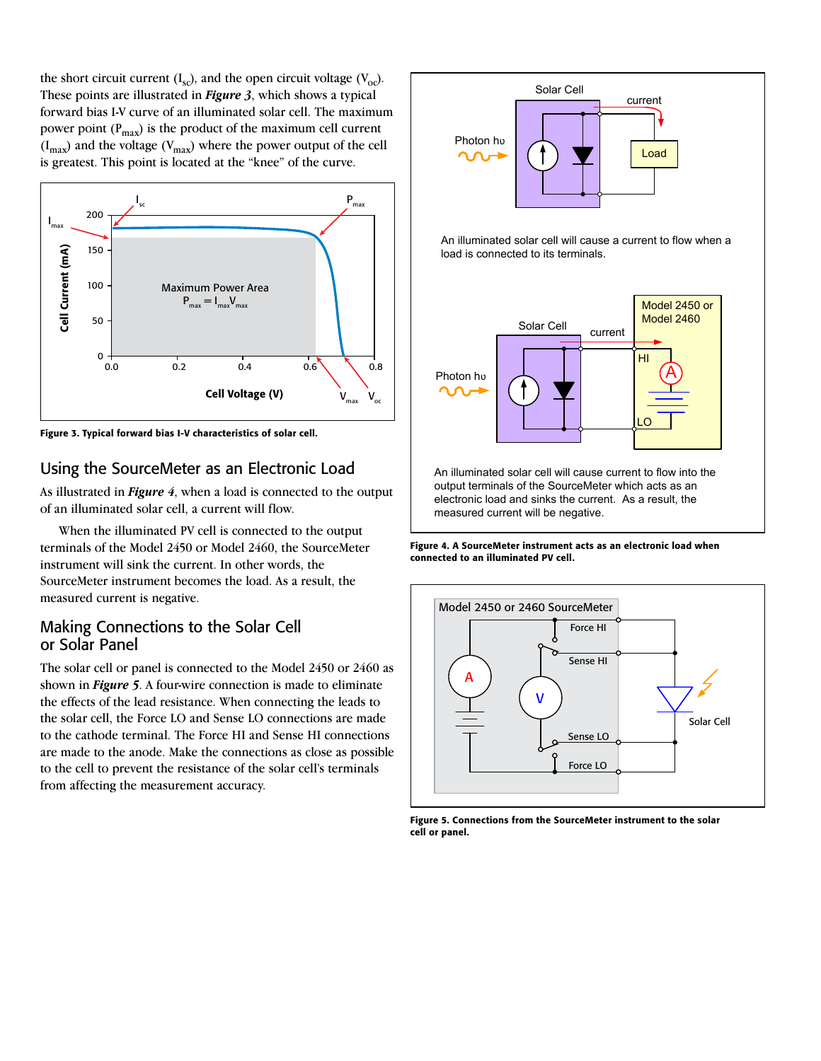the short circuit current  $(I_{\rm sc})$ , and the open circuit voltage  $(V_{\rm oc})$ . These points are illustrated in *Figure 3*, which shows a typical forward bias I-V curve of an illuminated solar cell. The maximum power point  $(P_{max})$  is the product of the maximum cell current  $(I_{\text{max}})$  and the voltage  $(V_{\text{max}})$  where the power output of the cell is greatest. This point is located at the "knee" of the curve.



Figure 3. Typical forward bias I-V characteristics of solar cell.

#### Using the SourceMeter as an Electronic Load

As illustrated in *Figure 4*, when a load is connected to the output of an illuminated solar cell, a current will flow.

When the illuminated PV cell is connected to the output terminals of the Model 2450 or Model 2460, the SourceMeter instrument will sink the current. In other words, the SourceMeter instrument becomes the load. As a result, the measured current is negative.

#### Making Connections to the Solar Cell or Solar Panel

The solar cell or panel is connected to the Model 2450 or 2460 as shown in *Figure 5*. A four-wire connection is made to eliminate the effects of the lead resistance. When connecting the leads to the solar cell, the Force LO and Sense LO connections are made to the cathode terminal. The Force HI and Sense HI connections are made to the anode. Make the connections as close as possible to the cell to prevent the resistance of the solar cell's terminals from affecting the measurement accuracy.



Figure 4. A SourceMeter instrument acts as an electronic load when connected to an illuminated PV cell.



Figure 5. Connections from the SourceMeter instrument to the solar cell or panel.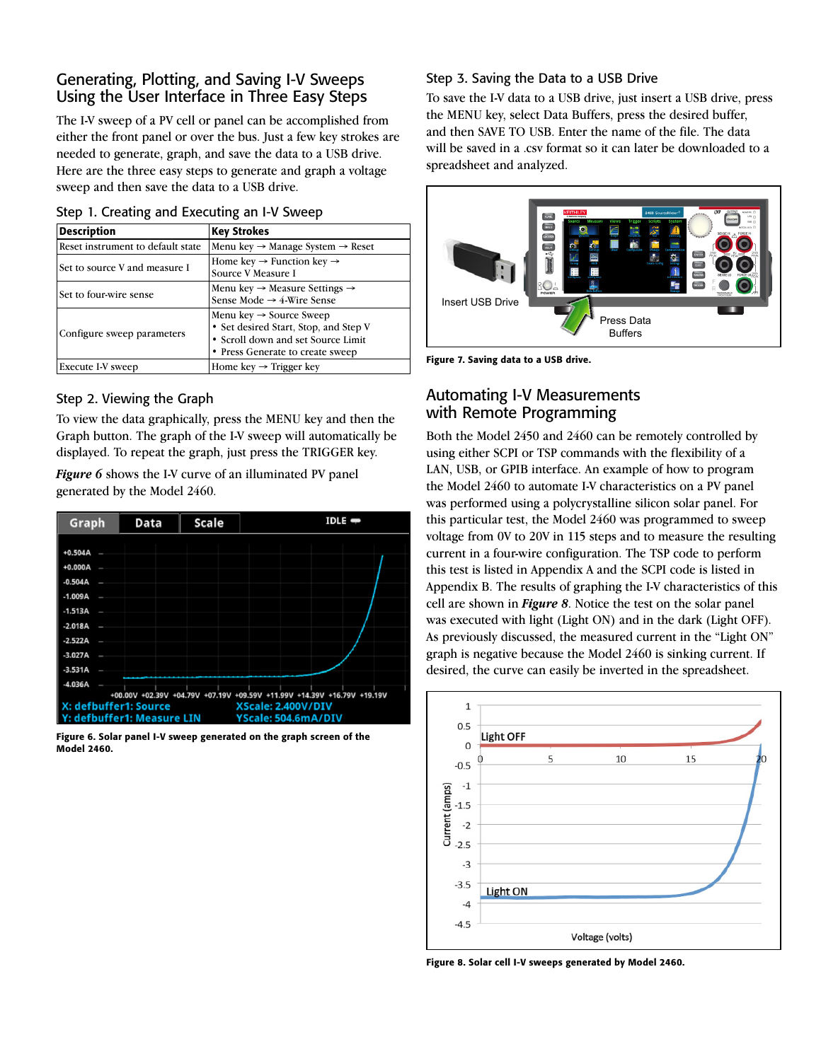#### Generating, Plotting, and Saving I-V Sweeps Using the User Interface in Three Easy Steps

The I-V sweep of a PV cell or panel can be accomplished from either the front panel or over the bus. Just a few key strokes are needed to generate, graph, and save the data to a USB drive. Here are the three easy steps to generate and graph a voltage sweep and then save the data to a USB drive.

| <b>Description</b>                | <b>Key Strokes</b>                                                                                                                                     |  |  |  |
|-----------------------------------|--------------------------------------------------------------------------------------------------------------------------------------------------------|--|--|--|
| Reset instrument to default state | Menu key $\rightarrow$ Manage System $\rightarrow$ Reset                                                                                               |  |  |  |
| Set to source V and measure I     | Home key $\rightarrow$ Function key $\rightarrow$<br>Source V Measure I                                                                                |  |  |  |
| Set to four-wire sense            | Menu key $\rightarrow$ Measure Settings $\rightarrow$<br>Sense Mode $\rightarrow$ 4-Wire Sense                                                         |  |  |  |
| Configure sweep parameters        | Menu key $\rightarrow$ Source Sweep<br>• Set desired Start, Stop, and Step V<br>• Scroll down and set Source Limit<br>• Press Generate to create sweep |  |  |  |
| Execute I-V sweep                 | Home key $\rightarrow$ Trigger key                                                                                                                     |  |  |  |

#### Step 2. Viewing the Graph

To view the data graphically, press the MENU key and then the Graph button. The graph of the I-V sweep will automatically be displayed. To repeat the graph, just press the TRIGGER key.

*Figure 6* shows the I-V curve of an illuminated PV panel generated by the Model 2460.

| Graph                                                                   | Data | <b>Scale</b> | $IDLE$ $\rightarrow$ |
|-------------------------------------------------------------------------|------|--------------|----------------------|
|                                                                         |      |              |                      |
| $+0.504A$                                                               |      |              |                      |
| +0.000A                                                                 |      |              |                      |
| $-0.504A$                                                               |      |              |                      |
| $-1.009A$                                                               |      |              |                      |
| $-1.513A$                                                               |      |              |                      |
| $-2.018A$                                                               |      |              |                      |
| $-2.522A$                                                               |      |              |                      |
| $-3.027A$                                                               |      |              |                      |
| $-3.531A$                                                               |      |              |                      |
| $-4.036A$                                                               |      |              |                      |
| +00.00V +02.39V +04.79V +07.19V +09.59V +11.99V +14.39V +16.79V +19.19V |      |              |                      |
| X: defbuffer1: Source<br>XScale: 2.400V/DIV                             |      |              |                      |
| Y: defbuffer1: Measure LIN<br>YScale: 504.6mA/DIV                       |      |              |                      |

Figure 6. Solar panel I-V sweep generated on the graph screen of the Model 2460.

#### Step 3. Saving the Data to a USB Drive

To save the I-V data to a USB drive, just insert a USB drive, press the MENU key, select Data Buffers, press the desired buffer, and then SAVE TO USB. Enter the name of the file. The data will be saved in a .csv format so it can later be downloaded to a spreadsheet and analyzed.



Figure 7. Saving data to a USB drive.

#### Automating I-V Measurements with Remote Programming

Both the Model 2450 and 2460 can be remotely controlled by using either SCPI or TSP commands with the flexibility of a LAN, USB, or GPIB interface. An example of how to program the Model 2460 to automate I-V characteristics on a PV panel was performed using a polycrystalline silicon solar panel. For this particular test, the Model 2460 was programmed to sweep voltage from 0V to 20V in 115 steps and to measure the resulting current in a four-wire configuration. The TSP code to perform this test is listed in Appendix A and the SCPI code is listed in Appendix B. The results of graphing the I-V characteristics of this cell are shown in *Figure 8*. Notice the test on the solar panel was executed with light (Light ON) and in the dark (Light OFF). As previously discussed, the measured current in the "Light ON" graph is negative because the Model 2460 is sinking current. If desired, the curve can easily be inverted in the spreadsheet.



Figure 8. Solar cell I-V sweeps generated by Model 2460.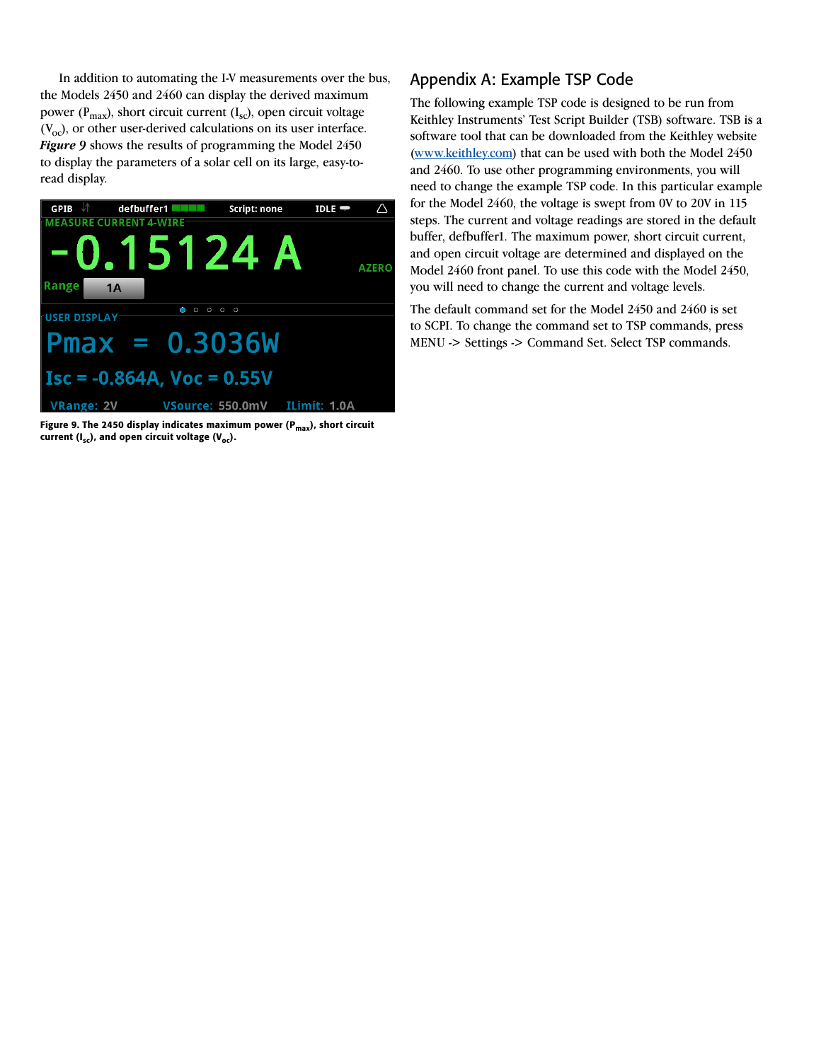In addition to automating the I-V measurements over the bus, the Models 2450 and 2460 can display the derived maximum power ( $P_{max}$ ), short circuit current ( $I_{sc}$ ), open circuit voltage  $(V<sub>oc</sub>)$ , or other user-derived calculations on its user interface. *Figure 9* shows the results of programming the Model 2450 to display the parameters of a solar cell on its large, easy-toread display.



Figure 9. The 2450 display indicates maximum power ( $P_{max}$ ), short circuit current  $(I_{sc})$ , and open circuit voltage  $(V_{oc})$ .

#### Appendix A: Example TSP Code

The following example TSP code is designed to be run from Keithley Instruments' Test Script Builder (TSB) software. TSB is a software tool that can be downloaded from the Keithley website (www.keithley.com) that can be used with both the Model 2450 and 2460. To use other programming environments, you will need to change the example TSP code. In this particular example for the Model 2460, the voltage is swept from 0V to 20V in 115 steps. The current and voltage readings are stored in the default buffer, defbuffer1. The maximum power, short circuit current, and open circuit voltage are determined and displayed on the Model 2460 front panel. To use this code with the Model 2450, you will need to change the current and voltage levels.

The default command set for the Model 2450 and 2460 is set to SCPI. To change the command set to TSP commands, press MENU -> Settings -> Command Set. Select TSP commands.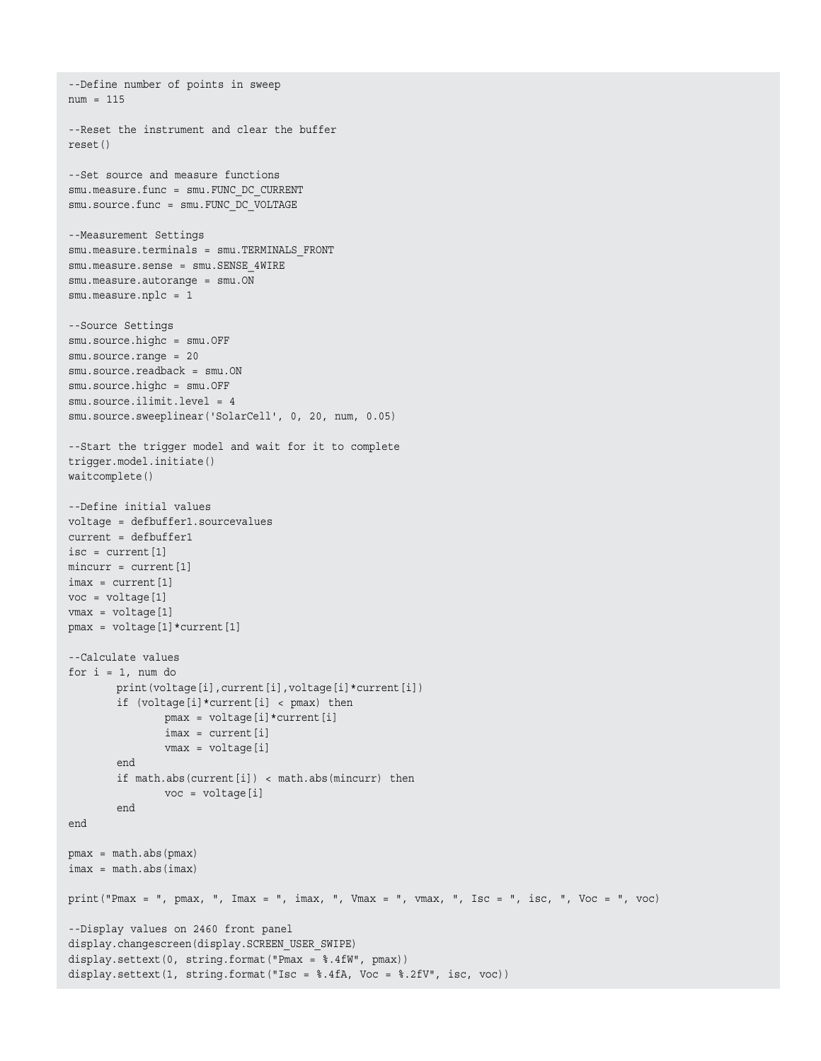```
num = 115
--Reset the instrument and clear the buffer
reset()
--Set source and measure functions
smu.measure.func = smu.FUNC DC CURRENT
smu.source.func = smu.FUNC_DC_VOLTAGE
--Measurement Settings
smu.measure.terminals = smu.TERMINALS_FRONT
smu.measure.sense = smu.SENSE_4WIRE
smu.measure.autorange = smu.ON
smu.measure.nplc = 1
--Source Settings
smu.source.highc = smu.OFF
smu.source.range = 20
smu.source.readback = smu.ON
smu.source.highc = smu.OFF
smu.source.ilimit.level = 4
smu.source.sweeplinear('SolarCell', 0, 20, num, 0.05)
--Start the trigger model and wait for it to complete
trigger.model.initiate()
waitcomplete()
--Define initial values
voltage = defbuffer1.sourcevalues
current = defbuffer1
isc = current[1]
mincurr = current[1]
imax = current[1]voc = voltage[1]
vmax = voltage[1]
pmax = voltage[1]*current[1]
--Calculate values
for i = 1, num do
       print(voltage[i], current[i], voltage[i]*current[i])
        if (voltage[i]*current[i] < pmax) then
                pmax = voltage[i]*current[i]
               imax = current[i] vmax = voltage[i]
        end
       if math.abs(current[i]) < math.abs(mincurr) then
               voc = voltage[i]
       end
end
pmax = math.abs(pmax)
imax = math.abs(imax)
print("Pmax = ", pmax, ", Imax = ", imax, ", Vmax = ", vmax, ", Isc = ", isc, ", Voc = ", voc)
--Display values on 2460 front panel
display.changescreen(display.SCREEN_USER_SWIPE)
display.settext(0, string.format("Pmax = %.4fW", pmax))
display.settext(1, string.format("Isc = %.4fA, Voc = %.2fV", isc, voc))
```
--Define number of points in sweep